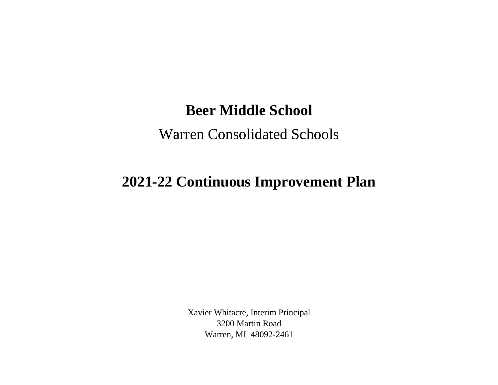## **Beer Middle School**

## Warren Consolidated Schools

## **2021-22 Continuous Improvement Plan**

Xavier Whitacre, Interim Principal 3200 Martin Road Warren, MI 48092-2461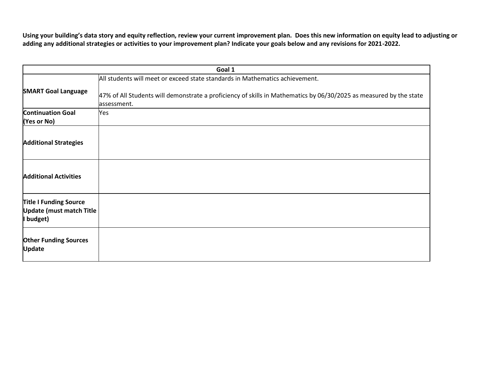**Using your building's data story and equity reflection, review your current improvement plan. Does this new information on equity lead to adjusting or adding any additional strategies or activities to your improvement plan? Indicate your goals below and any revisions for 2021-2022.**

| Goal 1                                                                       |                                                                                                                    |  |
|------------------------------------------------------------------------------|--------------------------------------------------------------------------------------------------------------------|--|
| All students will meet or exceed state standards in Mathematics achievement. |                                                                                                                    |  |
|                                                                              |                                                                                                                    |  |
| <b>SMART Goal Language</b>                                                   |                                                                                                                    |  |
|                                                                              | 47% of All Students will demonstrate a proficiency of skills in Mathematics by 06/30/2025 as measured by the state |  |
|                                                                              | assessment.                                                                                                        |  |
| <b>Continuation Goal</b>                                                     | Yes                                                                                                                |  |
| (Yes or No)                                                                  |                                                                                                                    |  |
|                                                                              |                                                                                                                    |  |
|                                                                              |                                                                                                                    |  |
| <b>Additional Strategies</b>                                                 |                                                                                                                    |  |
|                                                                              |                                                                                                                    |  |
|                                                                              |                                                                                                                    |  |
|                                                                              |                                                                                                                    |  |
| <b>Additional Activities</b>                                                 |                                                                                                                    |  |
|                                                                              |                                                                                                                    |  |
|                                                                              |                                                                                                                    |  |
| <b>Title I Funding Source</b>                                                |                                                                                                                    |  |
| <b>Update (must match Title</b>                                              |                                                                                                                    |  |
| I budget)                                                                    |                                                                                                                    |  |
|                                                                              |                                                                                                                    |  |
| <b>Other Funding Sources</b>                                                 |                                                                                                                    |  |
| <b>Update</b>                                                                |                                                                                                                    |  |
|                                                                              |                                                                                                                    |  |
|                                                                              |                                                                                                                    |  |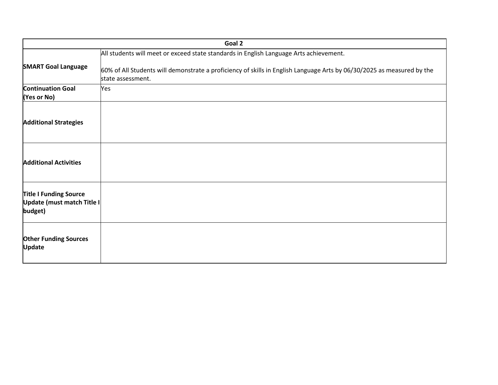| Goal 2                                                                 |                                                                                                                                             |  |
|------------------------------------------------------------------------|---------------------------------------------------------------------------------------------------------------------------------------------|--|
|                                                                        | All students will meet or exceed state standards in English Language Arts achievement.                                                      |  |
| <b>SMART Goal Language</b>                                             | 60% of All Students will demonstrate a proficiency of skills in English Language Arts by 06/30/2025 as measured by the<br>state assessment. |  |
| <b>Continuation Goal</b><br>(Yes or No)                                | Yes                                                                                                                                         |  |
| <b>Additional Strategies</b>                                           |                                                                                                                                             |  |
| <b>Additional Activities</b>                                           |                                                                                                                                             |  |
| <b>Title I Funding Source</b><br>Update (must match Title I<br>budget) |                                                                                                                                             |  |
| <b>Other Funding Sources</b><br><b>Update</b>                          |                                                                                                                                             |  |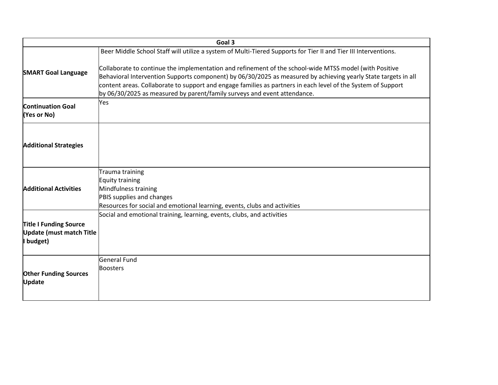|                                                                               | Goal 3                                                                                                                                                                                                                                                                                                                                                                                                               |
|-------------------------------------------------------------------------------|----------------------------------------------------------------------------------------------------------------------------------------------------------------------------------------------------------------------------------------------------------------------------------------------------------------------------------------------------------------------------------------------------------------------|
|                                                                               | Beer Middle School Staff will utilize a system of Multi-Tiered Supports for Tier II and Tier III Interventions.                                                                                                                                                                                                                                                                                                      |
| <b>SMART Goal Language</b>                                                    | Collaborate to continue the implementation and refinement of the school-wide MTSS model (with Positive<br>Behavioral Intervention Supports component) by 06/30/2025 as measured by achieving yearly State targets in all<br>content areas. Collaborate to support and engage families as partners in each level of the System of Support<br>by 06/30/2025 as measured by parent/family surveys and event attendance. |
| <b>Continuation Goal</b><br>(Yes or No)                                       | Yes                                                                                                                                                                                                                                                                                                                                                                                                                  |
| <b>Additional Strategies</b>                                                  |                                                                                                                                                                                                                                                                                                                                                                                                                      |
| <b>Additional Activities</b>                                                  | Trauma training<br>Equity training<br>Mindfulness training<br>PBIS supplies and changes<br>Resources for social and emotional learning, events, clubs and activities                                                                                                                                                                                                                                                 |
| <b>Title I Funding Source</b><br><b>Update (must match Title</b><br>I budget) | Social and emotional training, learning, events, clubs, and activities                                                                                                                                                                                                                                                                                                                                               |
| <b>Other Funding Sources</b><br>Update                                        | General Fund<br><b>Boosters</b>                                                                                                                                                                                                                                                                                                                                                                                      |